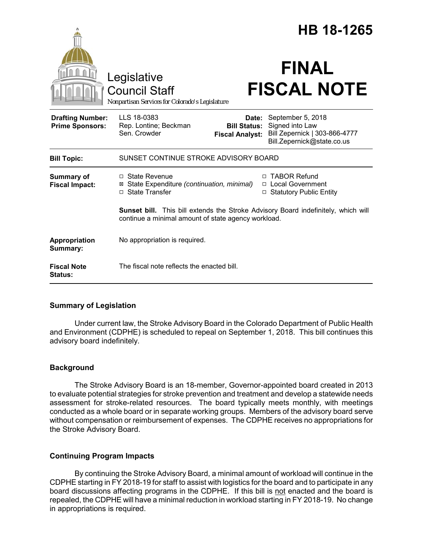|                                                   |                                                                                                                                          |                                                        | HB 18-1265                                                                                          |
|---------------------------------------------------|------------------------------------------------------------------------------------------------------------------------------------------|--------------------------------------------------------|-----------------------------------------------------------------------------------------------------|
|                                                   | Legislative<br><b>Council Staff</b><br>Nonpartisan Services for Colorado's Legislature                                                   |                                                        | <b>FINAL</b><br><b>FISCAL NOTE</b>                                                                  |
| <b>Drafting Number:</b><br><b>Prime Sponsors:</b> | LLS 18-0383<br>Rep. Lontine; Beckman<br>Sen. Crowder                                                                                     | Date:<br><b>Bill Status:</b><br><b>Fiscal Analyst:</b> | September 5, 2018<br>Signed into Law<br>Bill Zepernick   303-866-4777<br>Bill.Zepernick@state.co.us |
| <b>Bill Topic:</b>                                | SUNSET CONTINUE STROKE ADVISORY BOARD                                                                                                    |                                                        |                                                                                                     |
| <b>Summary of</b><br><b>Fiscal Impact:</b>        | $\Box$ State Revenue<br>⊠ State Expenditure (continuation, minimal)<br>□ State Transfer                                                  | $\Box$                                                 | <b>TABOR Refund</b><br>□ Local Government<br>□ Statutory Public Entity                              |
|                                                   | Sunset bill. This bill extends the Stroke Advisory Board indefinitely, which will<br>continue a minimal amount of state agency workload. |                                                        |                                                                                                     |
| Appropriation<br>Summary:                         | No appropriation is required.                                                                                                            |                                                        |                                                                                                     |
| <b>Fiscal Note</b><br>Status:                     | The fiscal note reflects the enacted bill.                                                                                               |                                                        |                                                                                                     |

# **Summary of Legislation**

Under current law, the Stroke Advisory Board in the Colorado Department of Public Health and Environment (CDPHE) is scheduled to repeal on September 1, 2018. This bill continues this advisory board indefinitely.

# **Background**

The Stroke Advisory Board is an 18-member, Governor-appointed board created in 2013 to evaluate potential strategies for stroke prevention and treatment and develop a statewide needs assessment for stroke-related resources. The board typically meets monthly, with meetings conducted as a whole board or in separate working groups. Members of the advisory board serve without compensation or reimbursement of expenses. The CDPHE receives no appropriations for the Stroke Advisory Board.

# **Continuing Program Impacts**

By continuing the Stroke Advisory Board, a minimal amount of workload will continue in the CDPHE starting in FY 2018-19 for staff to assist with logistics for the board and to participate in any board discussions affecting programs in the CDPHE. If this bill is not enacted and the board is repealed, the CDPHE will have a minimal reduction in workload starting in FY 2018-19. No change in appropriations is required.